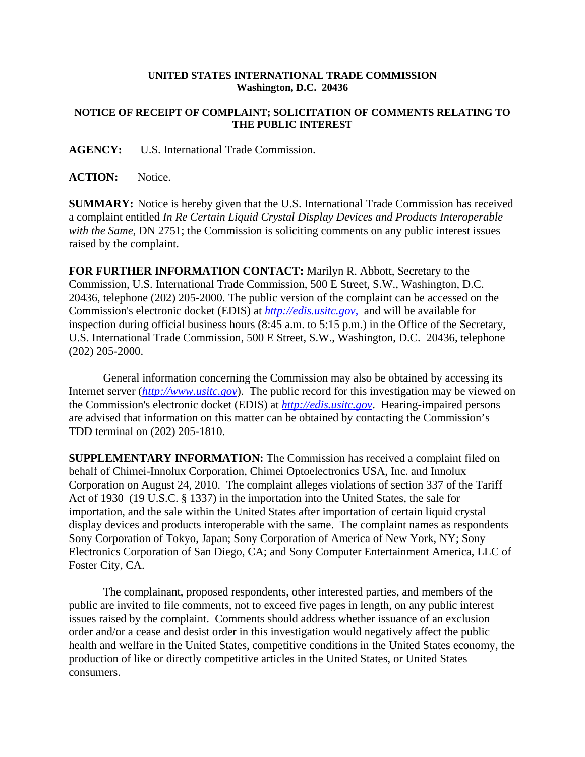## **UNITED STATES INTERNATIONAL TRADE COMMISSION Washington, D.C. 20436**

## **NOTICE OF RECEIPT OF COMPLAINT; SOLICITATION OF COMMENTS RELATING TO THE PUBLIC INTEREST**

**AGENCY:** U.S. International Trade Commission.

**ACTION:** Notice.

**SUMMARY:** Notice is hereby given that the U.S. International Trade Commission has received a complaint entitled *In Re Certain Liquid Crystal Display Devices and Products Interoperable with the Same*, DN 2751; the Commission is soliciting comments on any public interest issues raised by the complaint.

**FOR FURTHER INFORMATION CONTACT:** Marilyn R. Abbott, Secretary to the Commission, U.S. International Trade Commission, 500 E Street, S.W., Washington, D.C. 20436, telephone (202) 205-2000. The public version of the complaint can be accessed on the Commission's electronic docket (EDIS) at *http://edis.usitc.gov*, and will be available for inspection during official business hours (8:45 a.m. to 5:15 p.m.) in the Office of the Secretary, U.S. International Trade Commission, 500 E Street, S.W., Washington, D.C. 20436, telephone (202) 205-2000.

General information concerning the Commission may also be obtained by accessing its Internet server (*http://www.usitc.gov*). The public record for this investigation may be viewed on the Commission's electronic docket (EDIS) at *http://edis.usitc.gov*. Hearing-impaired persons are advised that information on this matter can be obtained by contacting the Commission's TDD terminal on (202) 205-1810.

**SUPPLEMENTARY INFORMATION:** The Commission has received a complaint filed on behalf of Chimei-Innolux Corporation, Chimei Optoelectronics USA, Inc. and Innolux Corporation on August 24, 2010. The complaint alleges violations of section 337 of the Tariff Act of 1930 (19 U.S.C. § 1337) in the importation into the United States, the sale for importation, and the sale within the United States after importation of certain liquid crystal display devices and products interoperable with the same. The complaint names as respondents Sony Corporation of Tokyo, Japan; Sony Corporation of America of New York, NY; Sony Electronics Corporation of San Diego, CA; and Sony Computer Entertainment America, LLC of Foster City, CA.

The complainant, proposed respondents, other interested parties, and members of the public are invited to file comments, not to exceed five pages in length, on any public interest issues raised by the complaint. Comments should address whether issuance of an exclusion order and/or a cease and desist order in this investigation would negatively affect the public health and welfare in the United States, competitive conditions in the United States economy, the production of like or directly competitive articles in the United States, or United States consumers.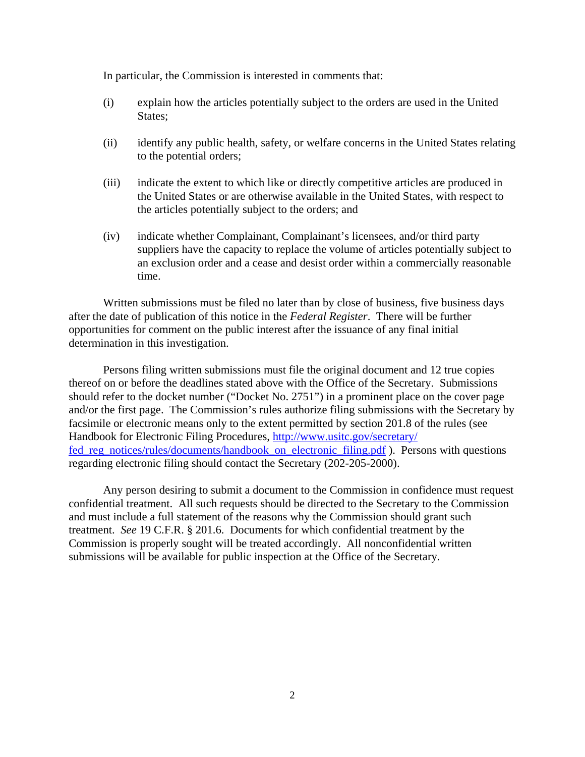In particular, the Commission is interested in comments that:

- (i) explain how the articles potentially subject to the orders are used in the United States;
- (ii) identify any public health, safety, or welfare concerns in the United States relating to the potential orders;
- (iii) indicate the extent to which like or directly competitive articles are produced in the United States or are otherwise available in the United States, with respect to the articles potentially subject to the orders; and
- (iv) indicate whether Complainant, Complainant's licensees, and/or third party suppliers have the capacity to replace the volume of articles potentially subject to an exclusion order and a cease and desist order within a commercially reasonable time.

Written submissions must be filed no later than by close of business, five business days after the date of publication of this notice in the *Federal Register*. There will be further opportunities for comment on the public interest after the issuance of any final initial determination in this investigation.

Persons filing written submissions must file the original document and 12 true copies thereof on or before the deadlines stated above with the Office of the Secretary. Submissions should refer to the docket number ("Docket No. 2751") in a prominent place on the cover page and/or the first page. The Commission's rules authorize filing submissions with the Secretary by facsimile or electronic means only to the extent permitted by section 201.8 of the rules (see Handbook for Electronic Filing Procedures, http://www.usitc.gov/secretary/ fed reg\_notices/rules/documents/handbook\_on\_electronic\_filing.pdf ). Persons with questions regarding electronic filing should contact the Secretary (202-205-2000).

Any person desiring to submit a document to the Commission in confidence must request confidential treatment. All such requests should be directed to the Secretary to the Commission and must include a full statement of the reasons why the Commission should grant such treatment. *See* 19 C.F.R. § 201.6. Documents for which confidential treatment by the Commission is properly sought will be treated accordingly. All nonconfidential written submissions will be available for public inspection at the Office of the Secretary.